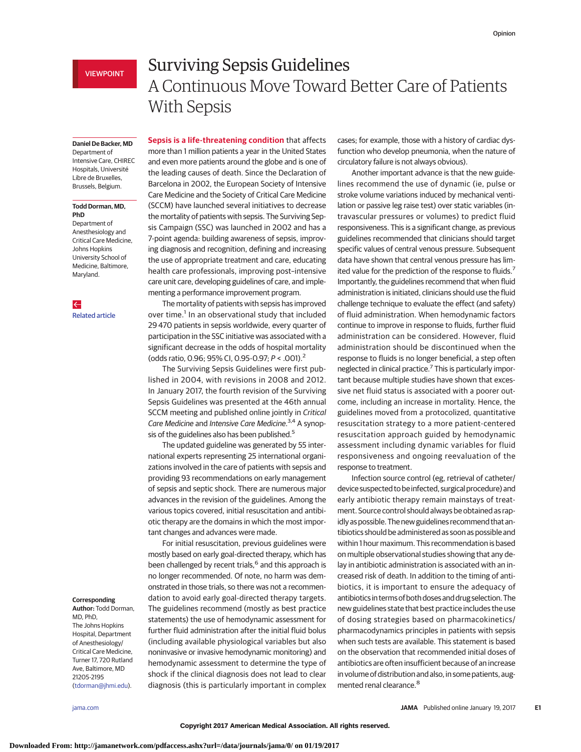## **Daniel De Backer, MD**

Department of Intensive Care, CHIREC Hospitals, Université Libre de Bruxelles, Brussels, Belgium.

### **Todd Dorman, MD, PhD**

Department of Anesthesiology and Critical Care Medicine, Johns Hopkins University School of Medicine, Baltimore, Maryland.

 $\leftarrow$ [Related article](http://jama.jamanetwork.com/article.aspx?doi=10.1001/jama.2017.0131&utm_campaign=articlePDF%26utm_medium=articlePDFlink%26utm_source=articlePDF%26utm_content=jama.2017.0059)

#### **Corresponding**

**Author:** Todd Dorman, MD, PhD, The Johns Hopkins Hospital, Department of Anesthesiology/ Critical Care Medicine, Turner 17, 720 Rutland Ave, Baltimore, MD 21205-2195 [\(tdorman@jhmi.edu\)](mailto:tdorman@jhmi.edu).

# Surviving Sepsis Guidelines A Continuous Move Toward Better Care of Patients With Sepsis

**Sepsis is a life-threatening condition** that affects more than 1 million patients a year in the United States and even more patients around the globe and is one of the leading causes of death. Since the Declaration of Barcelona in 2002, the European Society of Intensive Care Medicine and the Society of Critical Care Medicine (SCCM) have launched several initiatives to decrease the mortality of patients with sepsis. The Surviving Sepsis Campaign (SSC) was launched in 2002 and has a 7-point agenda: building awareness of sepsis, improving diagnosis and recognition, defining and increasing the use of appropriate treatment and care, educating health care professionals, improving post–intensive care unit care, developing guidelines of care, and implementing a performance improvement program.

The mortality of patients with sepsis has improved over time.<sup>1</sup> In an observational study that included 29 470 patients in sepsis worldwide, every quarter of participation in the SSC initiative was associated with a significant decrease in the odds of hospital mortality (odds ratio, 0.96; 95% CI, 0.95-0.97; P < .001).<sup>2</sup>

The Surviving Sepsis Guidelines were first published in 2004, with revisions in 2008 and 2012. In January 2017, the fourth revision of the Surviving Sepsis Guidelines was presented at the 46th annual SCCM meeting and published online jointly in Critical Care Medicine and Intensive Care Medicine.<sup>3,4</sup> A synopsis of the guidelines also has been published.<sup>5</sup>

The updated guideline was generated by 55 international experts representing 25 international organizations involved in the care of patients with sepsis and providing 93 recommendations on early management of sepsis and septic shock. There are numerous major advances in the revision of the guidelines. Among the various topics covered, initial resuscitation and antibiotic therapy are the domains in which the most important changes and advances were made.

For initial resuscitation, previous guidelines were mostly based on early goal-directed therapy, which has been challenged by recent trials,<sup>6</sup> and this approach is no longer recommended. Of note, no harm was demonstrated in those trials, so there was not a recommendation to avoid early goal-directed therapy targets. The guidelines recommend (mostly as best practice statements) the use of hemodynamic assessment for further fluid administration after the initial fluid bolus (including available physiological variables but also noninvasive or invasive hemodynamic monitoring) and hemodynamic assessment to determine the type of shock if the clinical diagnosis does not lead to clear diagnosis (this is particularly important in complex cases; for example, those with a history of cardiac dysfunction who develop pneumonia, when the nature of circulatory failure is not always obvious).

Another important advance is that the new guidelines recommend the use of dynamic (ie, pulse or stroke volume variations induced by mechanical ventilation or passive leg raise test) over static variables (intravascular pressures or volumes) to predict fluid responsiveness. This is a significant change, as previous guidelines recommended that clinicians should target specific values of central venous pressure. Subsequent data have shown that central venous pressure has limited value for the prediction of the response to fluids.<sup>7</sup> Importantly, the guidelines recommend that when fluid administration is initiated, clinicians should use the fluid challenge technique to evaluate the effect (and safety) of fluid administration. When hemodynamic factors continue to improve in response to fluids, further fluid administration can be considered. However, fluid administration should be discontinued when the response to fluids is no longer beneficial, a step often neglected in clinical practice.7 This is particularly important because multiple studies have shown that excessive net fluid status is associated with a poorer outcome, including an increase in mortality. Hence, the guidelines moved from a protocolized, quantitative resuscitation strategy to a more patient-centered resuscitation approach guided by hemodynamic assessment including dynamic variables for fluid responsiveness and ongoing reevaluation of the response to treatment.

Infection source control (eg, retrieval of catheter/ device suspected to be infected, surgical procedure) and early antibiotic therapy remain mainstays of treatment. Source control should always be obtained as rapidly as possible. The new guidelines recommend that antibiotics should be administered as soon as possible and within 1 hour maximum. This recommendation is based on multiple observational studies showing that any delay in antibiotic administration is associated with an increased risk of death. In addition to the timing of antibiotics, it is important to ensure the adequacy of antibiotics in terms of both doses and drug selection. The new guidelines state that best practice includes the use of dosing strategies based on pharmacokinetics/ pharmacodynamics principles in patients with sepsis when such tests are available. This statement is based on the observation that recommended initial doses of antibiotics are often insufficient because of an increase in volume of distribution and also, in some patients, augmented renal clearance.<sup>8</sup>